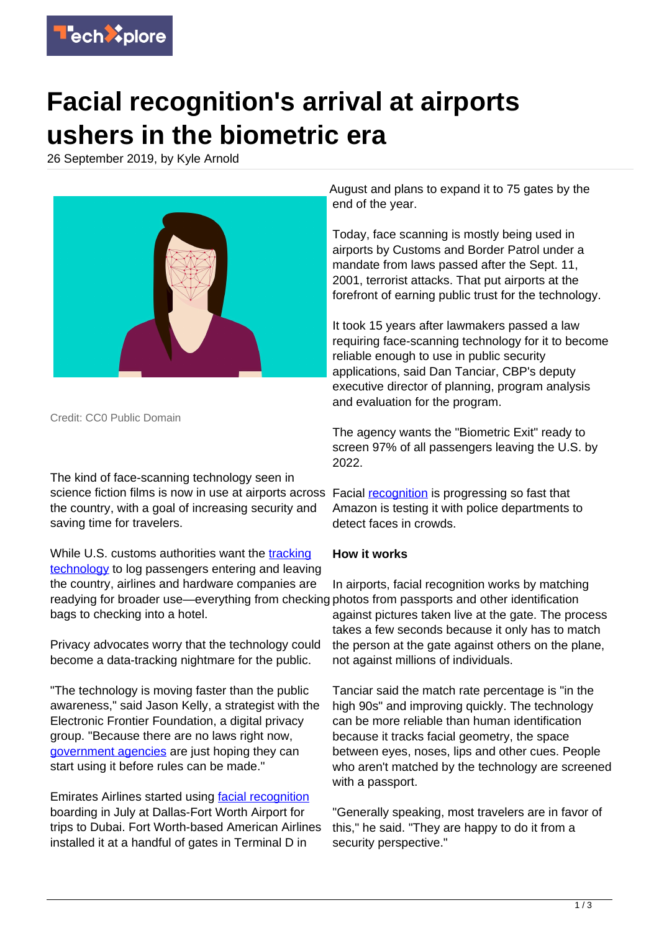

## **Facial recognition's arrival at airports ushers in the biometric era**

26 September 2019, by Kyle Arnold



Credit: CC0 Public Domain

The kind of face-scanning technology seen in science fiction films is now in use at airports across the country, with a goal of increasing security and saving time for travelers.

While U.S. customs authorities want the [tracking](https://techxplore.com/tags/tracking+technology/) [technology](https://techxplore.com/tags/tracking+technology/) to log passengers entering and leaving the country, airlines and hardware companies are readying for broader use—everything from checking photos from passports and other identification bags to checking into a hotel.

Privacy advocates worry that the technology could become a data-tracking nightmare for the public.

"The technology is moving faster than the public awareness," said Jason Kelly, a strategist with the Electronic Frontier Foundation, a digital privacy group. "Because there are no laws right now, [government agencies](https://techxplore.com/tags/government+agencies/) are just hoping they can start using it before rules can be made."

Emirates Airlines started using [facial recognition](https://techxplore.com/tags/facial+recognition/) boarding in July at Dallas-Fort Worth Airport for trips to Dubai. Fort Worth-based American Airlines installed it at a handful of gates in Terminal D in

August and plans to expand it to 75 gates by the end of the year.

Today, face scanning is mostly being used in airports by Customs and Border Patrol under a mandate from laws passed after the Sept. 11, 2001, terrorist attacks. That put airports at the forefront of earning public trust for the technology.

It took 15 years after lawmakers passed a law requiring face-scanning technology for it to become reliable enough to use in public security applications, said Dan Tanciar, CBP's deputy executive director of planning, program analysis and evaluation for the program.

The agency wants the "Biometric Exit" ready to screen 97% of all passengers leaving the U.S. by 2022.

Facial [recognition](https://techxplore.com/tags/recognition/) is progressing so fast that Amazon is testing it with police departments to detect faces in crowds.

## **How it works**

In airports, facial recognition works by matching against pictures taken live at the gate. The process takes a few seconds because it only has to match the person at the gate against others on the plane, not against millions of individuals.

Tanciar said the match rate percentage is "in the high 90s" and improving quickly. The technology can be more reliable than human identification because it tracks facial geometry, the space between eyes, noses, lips and other cues. People who aren't matched by the technology are screened with a passport.

"Generally speaking, most travelers are in favor of this," he said. "They are happy to do it from a security perspective."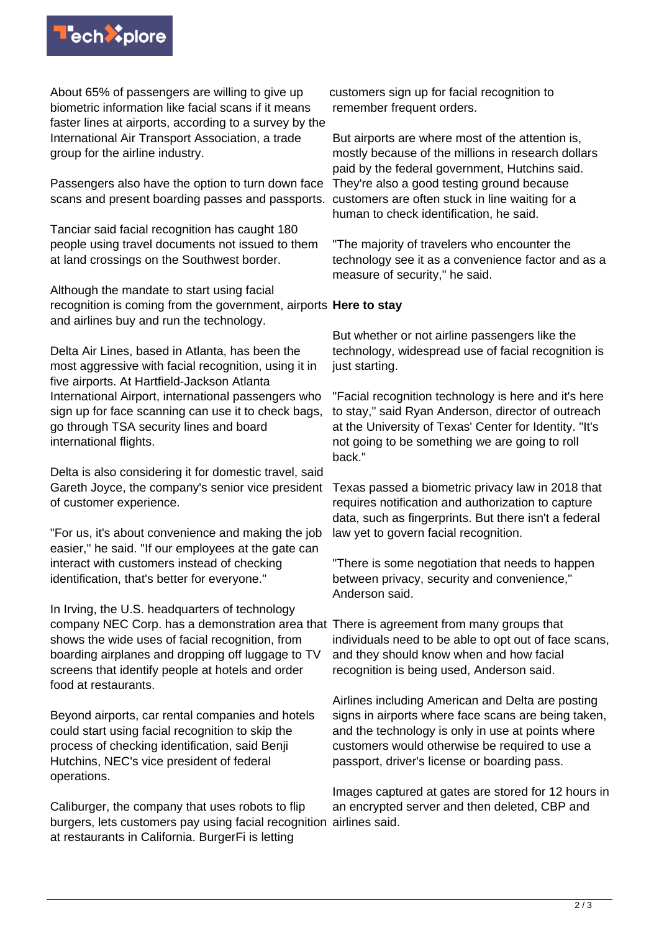

About 65% of passengers are willing to give up biometric information like facial scans if it means faster lines at airports, according to a survey by the International Air Transport Association, a trade group for the airline industry.

Passengers also have the option to turn down face scans and present boarding passes and passports.

Tanciar said facial recognition has caught 180 people using travel documents not issued to them at land crossings on the Southwest border.

Although the mandate to start using facial recognition is coming from the government, airports **Here to stay** and airlines buy and run the technology.

Delta Air Lines, based in Atlanta, has been the most aggressive with facial recognition, using it in five airports. At Hartfield-Jackson Atlanta International Airport, international passengers who sign up for face scanning can use it to check bags, go through TSA security lines and board international flights.

Delta is also considering it for domestic travel, said Gareth Joyce, the company's senior vice president of customer experience.

"For us, it's about convenience and making the job easier," he said. "If our employees at the gate can interact with customers instead of checking identification, that's better for everyone."

In Irving, the U.S. headquarters of technology company NEC Corp. has a demonstration area that There is agreement from many groups that shows the wide uses of facial recognition, from boarding airplanes and dropping off luggage to TV screens that identify people at hotels and order food at restaurants.

Beyond airports, car rental companies and hotels could start using facial recognition to skip the process of checking identification, said Benji Hutchins, NEC's vice president of federal operations.

Caliburger, the company that uses robots to flip burgers, lets customers pay using facial recognition airlines said. at restaurants in California. BurgerFi is letting

customers sign up for facial recognition to remember frequent orders.

But airports are where most of the attention is, mostly because of the millions in research dollars paid by the federal government, Hutchins said. They're also a good testing ground because customers are often stuck in line waiting for a human to check identification, he said.

"The majority of travelers who encounter the technology see it as a convenience factor and as a measure of security," he said.

But whether or not airline passengers like the technology, widespread use of facial recognition is just starting.

"Facial recognition technology is here and it's here to stay," said Ryan Anderson, director of outreach at the University of Texas' Center for Identity. "It's not going to be something we are going to roll back."

Texas passed a biometric privacy law in 2018 that requires notification and authorization to capture data, such as fingerprints. But there isn't a federal law yet to govern facial recognition.

"There is some negotiation that needs to happen between privacy, security and convenience," Anderson said.

individuals need to be able to opt out of face scans, and they should know when and how facial recognition is being used, Anderson said.

Airlines including American and Delta are posting signs in airports where face scans are being taken, and the technology is only in use at points where customers would otherwise be required to use a passport, driver's license or boarding pass.

Images captured at gates are stored for 12 hours in an encrypted server and then deleted, CBP and